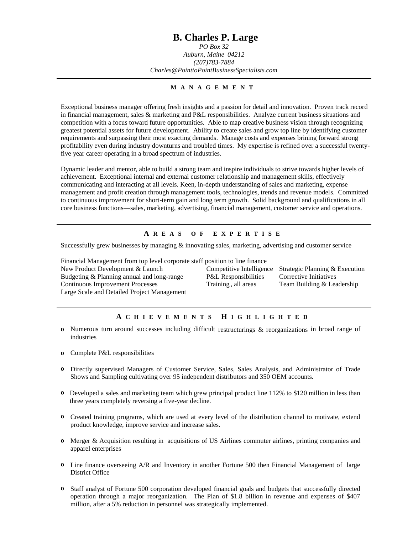## **B. Charles P. Large**

*PO Box 32 Auburn, Maine 04212 (207)783-7884 Charles@PointtoPointBusinessSpecialists.com*

#### **M A N A G E M E N T**

Exceptional business manager offering fresh insights and a passion for detail and innovation. Proven track record in financial management, sales & marketing and P&L responsibilities. Analyze current business situations and competition with a focus toward future opportunities. Able to map creative business vision through recognizing greatest potential assets for future development. Ability to create sales and grow top line by identifying customer requirements and surpassing their most exacting demands. Manage costs and expenses brining forward strong profitability even during industry downturns and troubled times. My expertise is refined over a successful twentyfive year career operating in a broad spectrum of industries.

Dynamic leader and mentor, able to build a strong team and inspire individuals to strive towards higher levels of achievement. Exceptional internal and external customer relationship and management skills, effectively communicating and interacting at all levels. Keen, in-depth understanding of sales and marketing, expense management and profit creation through management tools, technologies, trends and revenue models. Committed to continuous improvement for short-term gain and long term growth. Solid background and qualifications in all core business functions—sales, marketing, advertising, financial management, customer service and operations.

### **A R E A S O F E X P E R T I S E**

Successfully grew businesses by managing & innovating sales, marketing, advertising and customer service

Financial Management from top level corporate staff position to line finance New Product Development & Launch Competitive Intelligence Strategic Planning & Execution Budgeting & Planning annual and long-range P&L Responsibilities Corrective Initiatives Continuous Improvement Processes Training , all areas Team Building & Leadership Large Scale and Detailed Project Management

#### **A C H I E V E M E N T S H I G H L I G H T E D**

- **o** Numerous turn around successes including difficult restructurings & reorganizations in broad range of industries
- **o** Complete P&L responsibilities
- **o** Directly supervised Managers of Customer Service, Sales, Sales Analysis, and Administrator of Trade Shows and Sampling cultivating over 95 independent distributors and 350 OEM accounts.
- **o** Developed a sales and marketing team which grew principal product line 112% to \$120 million in less than three years completely reversing a five-year decline.
- **o** Created training programs, which are used at every level of the distribution channel to motivate, extend product knowledge, improve service and increase sales.
- **o** Merger & Acquisition resulting in acquisitions of US Airlines commuter airlines, printing companies and apparel enterprises
- **o** Line finance overseeing A/R and Inventory in another Fortune 500 then Financial Management of large District Office
- **o** Staff analyst of Fortune 500 corporation developed financial goals and budgets that successfully directed operation through a major reorganization. The Plan of \$1.8 billion in revenue and expenses of \$407 million, after a 5% reduction in personnel was strategically implemented.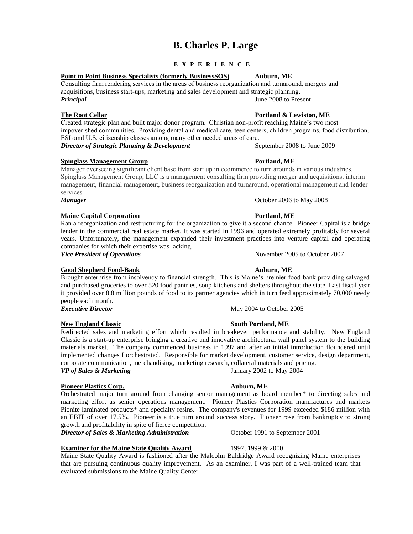# **B. Charles P. Large**

### **E X P E R I E N C E**

### **Point to Point Business Specialists (formerly BusinessSOS) Auburn, ME**

Consulting firm rendering services in the areas of business reorganization and turnaround, mergers and acquisitions, business start-ups, marketing and sales development and strategic planning. *Principal* June 2008 to Present

Created strategic plan and built major donor program. Christian non-profit reaching Maine's two most impoverished communities. Providing dental and medical care, teen centers, children programs, food distribution, ESL and U.S. citizenship classes among many other needed areas of care. *Director of Strategic Planning & Development* September 2008 to June 2009

### **Spinglass Management Group Portland, ME**

Manager overseeing significant client base from start up in ecommerce to turn arounds in various industries. Spinglass Management Group, LLC is a management consulting firm providing merger and acquisitions, interim management, financial management, business reorganization and turnaround, operational management and lender services.

*Manager* October 2006 to May 2008

### **Maine Capital Corporation Portland, ME**

Ran a reorganization and restructuring for the organization to give it a second chance. Pioneer Capital is a bridge lender in the commercial real estate market. It was started in 1996 and operated extremely profitably for several years. Unfortunately, the management expanded their investment practices into venture capital and operating companies for which their expertise was lacking.

*Vice President of Operations* and *November 2005* to October 2007

### **Good Shepherd Food-Bank Auburn, ME**

Brought enterprise from insolvency to financial strength. This is Maine's premier food bank providing salvaged and purchased groceries to over 520 food pantries, soup kitchens and shelters throughout the state. Last fiscal year it provided over 8.8 million pounds of food to its partner agencies which in turn feed approximately 70,000 needy people each month. **Executive Director** May 2004 to October 2005

### **New England Classic South Portland, ME**

Redirected sales and marketing effort which resulted in breakeven performance and stability. New England Classic is a start-up enterprise bringing a creative and innovative architectural wall panel system to the building materials market. The company commenced business in 1997 and after an initial introduction floundered until implemented changes I orchestrated. Responsible for market development, customer service, design department, corporate communication, merchandising, marketing research, collateral materials and pricing. *VP of Sales & Marketing* January 2002 to May 2004

#### **Pioneer Plastics Corp. Auburn, ME**

Orchestrated major turn around from changing senior management as board member\* to directing sales and marketing effort as senior operations management. Pioneer Plastics Corporation manufactures and markets Pionite laminated products\* and specialty resins. The company's revenues for 1999 exceeded \$186 million with an EBIT of over 17.5%. Pioneer is a true turn around success story. Pioneer rose from bankruptcy to strong growth and profitability in spite of fierce competition.

*Director of Sales & Marketing Administration* October 1991 to September 2001

#### **Examiner for the Maine State Quality Award** 1997, 1999 & 2000

Maine State Quality Award is fashioned after the Malcolm Baldridge Award recognizing Maine enterprises that are pursuing continuous quality improvement. As an examiner, I was part of a well-trained team that evaluated submissions to the Maine Quality Center.

**The Root Cellar Portland & Lewiston, ME**